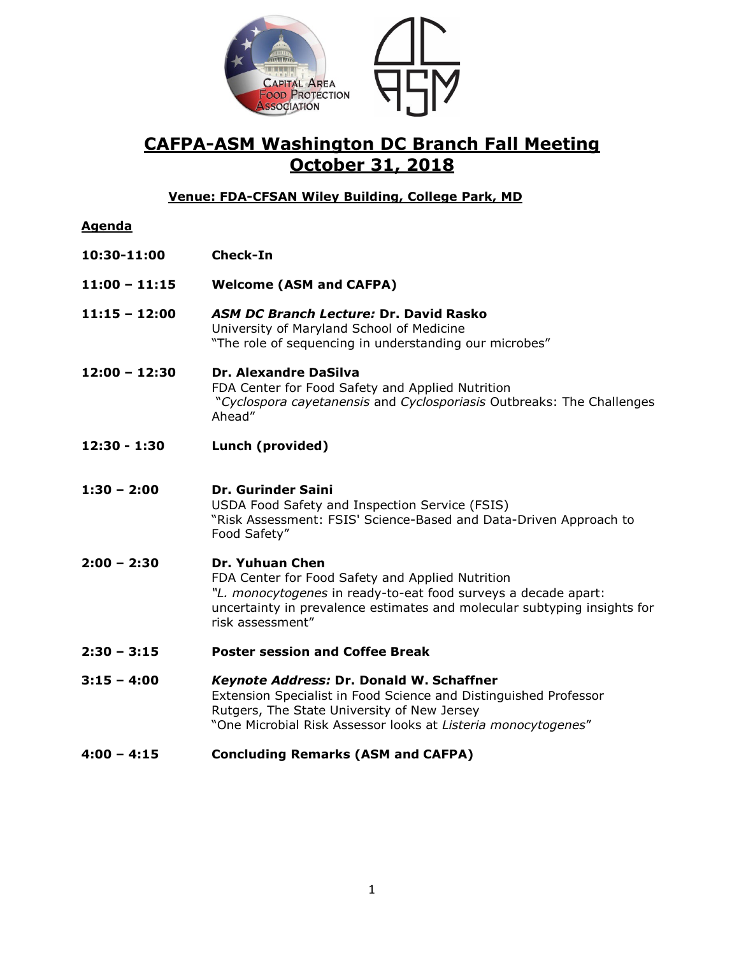

# **CAFPA-ASM Washington DC Branch Fall Meeting October 31, 2018**

## **Venue: FDA-CFSAN Wiley Building, College Park, MD**

### **Agenda**

- **10:30-11:00 Check-In**
- **11:00 – 11:15 Welcome (ASM and CAFPA)**
- **11:15 – 12:00** *ASM DC Branch Lecture:* **Dr. David Rasko** University of Maryland School of Medicine "The role of sequencing in understanding our microbes"
- **12:00 – 12:30 Dr. Alexandre DaSilva** FDA Center for Food Safety and Applied Nutrition "*Cyclospora cayetanensis* and *Cyclosporiasis* Outbreaks: The Challenges Ahead"
- **12:30 - 1:30 Lunch (provided)**
- **1:30 – 2:00 Dr. Gurinder Saini** USDA Food Safety and Inspection Service (FSIS) "Risk Assessment: FSIS' Science-Based and Data-Driven Approach to Food Safety"
- **2:00 – 2:30 Dr. Yuhuan Chen** FDA Center for Food Safety and Applied Nutrition *"L. monocytogenes* in ready-to-eat food surveys a decade apart: uncertainty in prevalence estimates and molecular subtyping insights for risk assessment"
- **2:30 – 3:15 Poster session and Coffee Break**
- **3:15 – 4:00** *Keynote Address:* **Dr. Donald W. Schaffner** Extension Specialist in Food Science and Distinguished Professor Rutgers, The State University of New Jersey "One Microbial Risk Assessor looks at *Listeria monocytogenes*"
- **4:00 – 4:15 Concluding Remarks (ASM and CAFPA)**